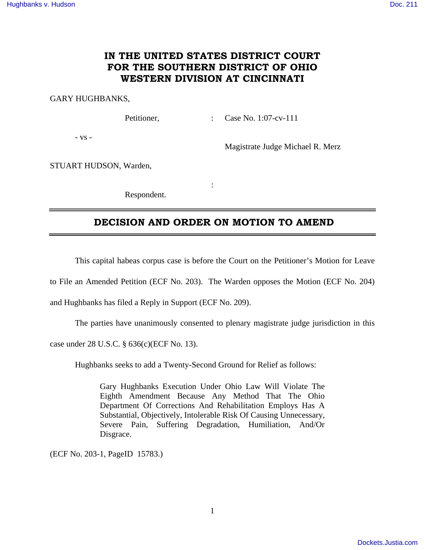## **IN THE UNITED STATES DISTRICT COURT FOR THE SOUTHERN DISTRICT OF OHIO WESTERN DIVISION AT CINCINNATI**

### GARY HUGHBANKS,

Petitioner, : Case No. 1:07-cv-111

- vs -

Magistrate Judge Michael R. Merz

STUART HUDSON, Warden,

Respondent.

**Service State State State** 

### **DECISION AND ORDER ON MOTION TO AMEND**

This capital habeas corpus case is before the Court on the Petitioner's Motion for Leave

to File an Amended Petition (ECF No. 203). The Warden opposes the Motion (ECF No. 204)

and Hughbanks has filed a Reply in Support (ECF No. 209).

The parties have unanimously consented to plenary magistrate judge jurisdiction in this

case under 28 U.S.C. § 636(c)(ECF No. 13).

Hughbanks seeks to add a Twenty-Second Ground for Relief as follows:

Gary Hughbanks Execution Under Ohio Law Will Violate The Eighth Amendment Because Any Method That The Ohio Department Of Corrections And Rehabilitation Employs Has A Substantial, Objectively, Intolerable Risk Of Causing Unnecessary, Severe Pain, Suffering Degradation, Humiliation, And/Or Disgrace.

(ECF No. 203-1, PageID 15783.)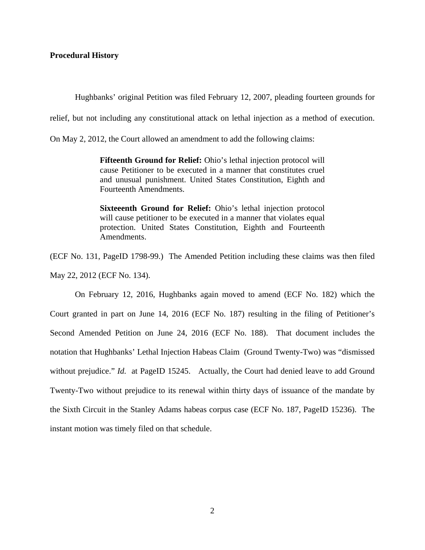### **Procedural History**

Hughbanks' original Petition was filed February 12, 2007, pleading fourteen grounds for

relief, but not including any constitutional attack on lethal injection as a method of execution.

On May 2, 2012, the Court allowed an amendment to add the following claims:

**Fifteenth Ground for Relief:** Ohio's lethal injection protocol will cause Petitioner to be executed in a manner that constitutes cruel and unusual punishment. United States Constitution, Eighth and Fourteenth Amendments.

**Sixteeenth Ground for Relief:** Ohio's lethal injection protocol will cause petitioner to be executed in a manner that violates equal protection. United States Constitution, Eighth and Fourteenth Amendments.

(ECF No. 131, PageID 1798-99.) The Amended Petition including these claims was then filed May 22, 2012 (ECF No. 134).

 On February 12, 2016, Hughbanks again moved to amend (ECF No. 182) which the Court granted in part on June 14, 2016 (ECF No. 187) resulting in the filing of Petitioner's Second Amended Petition on June 24, 2016 (ECF No. 188). That document includes the notation that Hughbanks' Lethal Injection Habeas Claim (Ground Twenty-Two) was "dismissed without prejudice." *Id.* at PageID 15245. Actually, the Court had denied leave to add Ground Twenty-Two without prejudice to its renewal within thirty days of issuance of the mandate by the Sixth Circuit in the Stanley Adams habeas corpus case (ECF No. 187, PageID 15236). The instant motion was timely filed on that schedule.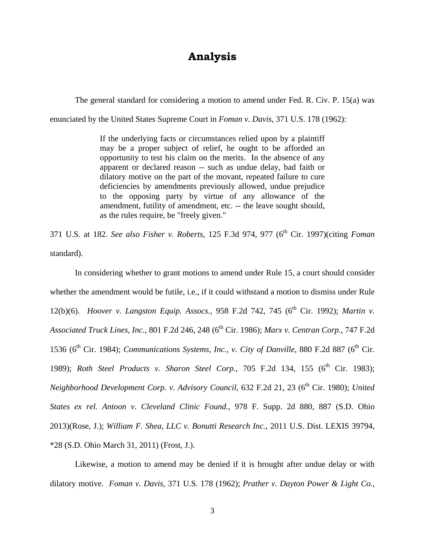# **Analysis**

The general standard for considering a motion to amend under Fed. R. Civ. P. 15(a) was

enunciated by the United States Supreme Court in *Foman v. Davis*, 371 U.S. 178 (1962):

If the underlying facts or circumstances relied upon by a plaintiff may be a proper subject of relief, he ought to be afforded an opportunity to test his claim on the merits. In the absence of any apparent or declared reason -- such as undue delay, bad faith or dilatory motive on the part of the movant, repeated failure to cure deficiencies by amendments previously allowed, undue prejudice to the opposing party by virtue of any allowance of the amendment, futility of amendment, etc. -- the leave sought should, as the rules require, be "freely given."

371 U.S. at 182. *See also Fisher v. Roberts*, 125 F.3d 974, 977 (6<sup>th</sup> Cir. 1997)(citing *Foman* standard).

 In considering whether to grant motions to amend under Rule 15, a court should consider whether the amendment would be futile, i.e., if it could withstand a motion to dismiss under Rule 12(b)(6). *Hoover v. Langston Equip. Assocs.*, 958 F.2d 742, 745 (6<sup>th</sup> Cir. 1992); *Martin v. Associated Truck Lines, Inc., 801 F.2d 246, 248 (6<sup>th</sup> Cir. 1986); <i>Marx v. Centran Corp., 747 F.2d* 1536 ( $6<sup>th</sup>$  Cir. 1984); *Communications Systems, Inc., v. City of Danville*, 880 F.2d 887 ( $6<sup>th</sup>$  Cir. 1989); Roth Steel Products v. Sharon Steel Corp., 705 F.2d 134, 155 (6<sup>th</sup> Cir. 1983); *Neighborhood Development Corp. v. Advisory Council, 632 F.2d 21, 23 (6<sup>th</sup> Cir. 1980); United States ex rel. Antoon v. Cleveland Clinic Found.*, 978 F. Supp. 2d 880, 887 (S.D. Ohio 2013)(Rose, J.); *William F. Shea, LLC v. Bonutti Research Inc.*, 2011 U.S. Dist. LEXIS 39794, \*28 (S.D. Ohio March 31, 2011) (Frost, J.).

Likewise, a motion to amend may be denied if it is brought after undue delay or with dilatory motive. *Foman v. Davis*, 371 U.S. 178 (1962); *Prather v. Dayton Power & Light Co.*,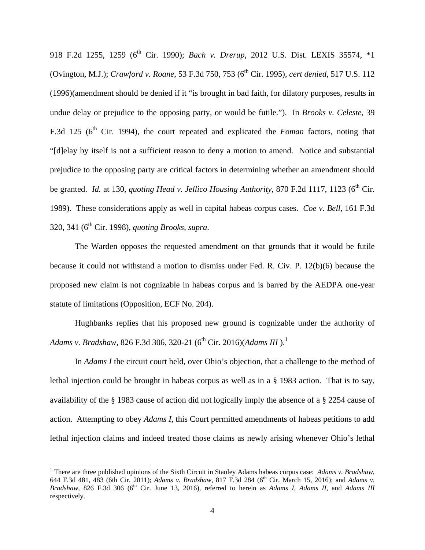918 F.2d 1255, 1259 (6<sup>th</sup> Cir. 1990); *Bach v. Drerup*, 2012 U.S. Dist. LEXIS 35574, \*1 (Ovington, M.J.); *Crawford v. Roane*, 53 F.3d 750, 753 (6<sup>th</sup> Cir. 1995), *cert denied*, 517 U.S. 112 (1996)(amendment should be denied if it "is brought in bad faith, for dilatory purposes, results in undue delay or prejudice to the opposing party, or would be futile."). In *Brooks v. Celeste*, 39 F.3d 125 (6<sup>th</sup> Cir. 1994), the court repeated and explicated the *Foman* factors, noting that "[d]elay by itself is not a sufficient reason to deny a motion to amend. Notice and substantial prejudice to the opposing party are critical factors in determining whether an amendment should be granted. *Id.* at 130, *quoting Head v. Jellico Housing Authority*, 870 F.2d 1117, 1123 (6<sup>th</sup> Cir. 1989). These considerations apply as well in capital habeas corpus cases. *Coe v. Bell*, 161 F.3d 320, 341 (6th Cir. 1998), *quoting Brooks*, *supra*.

 The Warden opposes the requested amendment on that grounds that it would be futile because it could not withstand a motion to dismiss under Fed. R. Civ. P. 12(b)(6) because the proposed new claim is not cognizable in habeas corpus and is barred by the AEDPA one-year statute of limitations (Opposition, ECF No. 204).

 Hughbanks replies that his proposed new ground is cognizable under the authority of *Adams v. Bradshaw, 826 F.3d 306, 320-21 (6<sup>th</sup> Cir. 2016)(Adams III* ).<sup>1</sup>

In *Adams I* the circuit court held, over Ohio's objection, that a challenge to the method of lethal injection could be brought in habeas corpus as well as in a § 1983 action. That is to say, availability of the § 1983 cause of action did not logically imply the absence of a § 2254 cause of action. Attempting to obey *Adams I*, this Court permitted amendments of habeas petitions to add lethal injection claims and indeed treated those claims as newly arising whenever Ohio's lethal

 $\overline{a}$ 

<sup>&</sup>lt;sup>1</sup> There are three published opinions of the Sixth Circuit in Stanley Adams habeas corpus case: *Adams v. Bradshaw*, 644 F.3d 481, 483 (6th Cir. 2011); *Adams v. Bradshaw*, 817 F.3d 284 (6th Cir. March 15, 2016); and *Adams v. Bradshaw*, 826 F.3d 306 (6<sup>th</sup> Cir. June 13, 2016), referred to herein as *Adams I, Adams II*, and *Adams III* respectively.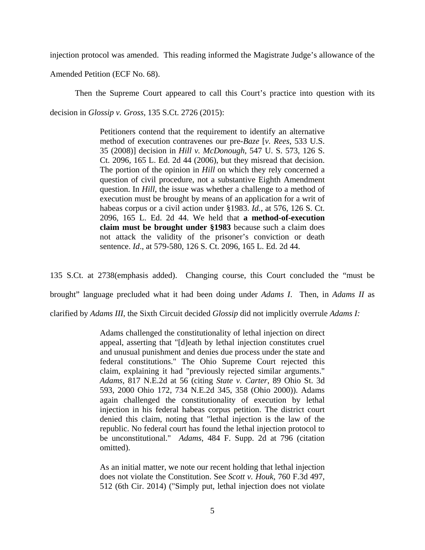injection protocol was amended. This reading informed the Magistrate Judge's allowance of the

Amended Petition (ECF No. 68).

Then the Supreme Court appeared to call this Court's practice into question with its decision in *Glossip v. Gross*, 135 S.Ct. 2726 (2015):

> Petitioners contend that the requirement to identify an alternative method of execution contravenes our pre-*Baze* [*v. Rees*, 533 U.S. 35 (2008)] decision in *Hill v. McDonough*, 547 U. S. 573, 126 S. Ct. 2096, 165 L. Ed. 2d 44 (2006), but they misread that decision. The portion of the opinion in *Hill* on which they rely concerned a question of civil procedure, not a substantive Eighth Amendment question. In *Hill*, the issue was whether a challenge to a method of execution must be brought by means of an application for a writ of habeas corpus or a civil action under §1983. *Id.,* at 576, 126 S. Ct. 2096, 165 L. Ed. 2d 44. We held that **a method-of-execution claim must be brought under §1983** because such a claim does not attack the validity of the prisoner's conviction or death sentence. *Id*., at 579-580, 126 S. Ct. 2096, 165 L. Ed. 2d 44.

135 S.Ct. at 2738(emphasis added). Changing course, this Court concluded the "must be brought" language precluded what it had been doing under *Adams I*. Then, in *Adams II* as

clarified by *Adams III*, the Sixth Circuit decided *Glossip* did not implicitly overrule *Adams I:* 

Adams challenged the constitutionality of lethal injection on direct appeal, asserting that "[d]eath by lethal injection constitutes cruel and unusual punishment and denies due process under the state and federal constitutions." The Ohio Supreme Court rejected this claim, explaining it had "previously rejected similar arguments." *Adams*, 817 N.E.2d at 56 (citing *State v. Carter*, 89 Ohio St. 3d 593, 2000 Ohio 172, 734 N.E.2d 345, 358 (Ohio 2000)). Adams again challenged the constitutionality of execution by lethal injection in his federal habeas corpus petition. The district court denied this claim, noting that "lethal injection is the law of the republic. No federal court has found the lethal injection protocol to be unconstitutional." *Adams*, 484 F. Supp. 2d at 796 (citation omitted).

As an initial matter, we note our recent holding that lethal injection does not violate the Constitution. See *Scott v. Houk*, 760 F.3d 497, 512 (6th Cir. 2014) ("Simply put, lethal injection does not violate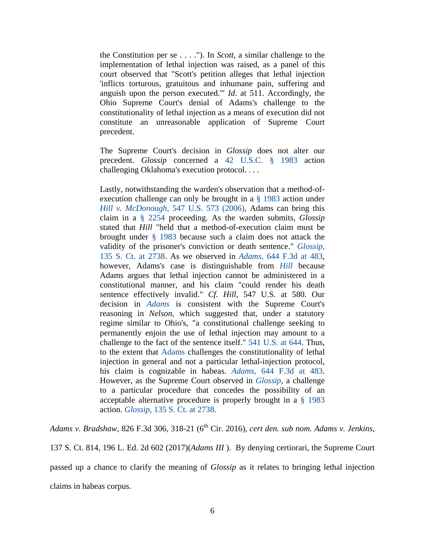the Constitution per se . . . ."). In *Scott*, a similar challenge to the implementation of lethal injection was raised, as a panel of this court observed that "Scott's petition alleges that lethal injection 'inflicts torturous, gratuitous and inhumane pain, suffering and anguish upon the person executed.'" *Id*. at 511. Accordingly, the Ohio Supreme Court's denial of Adams's challenge to the constitutionality of lethal injection as a means of execution did not constitute an unreasonable application of Supreme Court precedent.

The Supreme Court's decision in *Glossip* does not alter our precedent. *Glossip* concerned a 42 U.S.C. § 1983 action challenging Oklahoma's execution protocol. . . .

Lastly, notwithstanding the warden's observation that a method-ofexecution challenge can only be brought in a § 1983 action under *Hill v. McDonough*, 547 U.S. 573 (2006), Adams can bring this claim in a § 2254 proceeding. As the warden submits, *Glossip* stated that *Hill* "held that a method-of-execution claim must be brought under § 1983 because such a claim does not attack the validity of the prisoner's conviction or death sentence." *Glossip*, 135 S. Ct. at 2738. As we observed in *Adams*, 644 F.3d at 483, however, Adams's case is distinguishable from *Hill* because Adams argues that lethal injection cannot be administered in a constitutional manner, and his claim "could render his death sentence effectively invalid." *Cf. Hill*, 547 U.S. at 580. Our decision in *Adams* is consistent with the Supreme Court's reasoning in *Nelson*, which suggested that, under a statutory regime similar to Ohio's, "a constitutional challenge seeking to permanently enjoin the use of lethal injection may amount to a challenge to the fact of the sentence itself." 541 U.S. at 644. Thus, to the extent that Adams challenges the constitutionality of lethal injection in general and not a particular lethal-injection protocol, his claim is cognizable in habeas. *Adams*, 644 F.3d at 483. However, as the Supreme Court observed in *Glossip*, a challenge to a particular procedure that concedes the possibility of an acceptable alternative procedure is properly brought in a § 1983 action. *Glossip*, 135 S. Ct. at 2738.

*Adams v. Bradshaw*, 826 F.3d 306, 318-21 (6th Cir. 2016), *cert den. sub nom. Adams v. Jenkins*, 137 S. Ct. 814, 196 L. Ed. 2d 602 (2017)(*Adams III* ). By denying certiorari, the Supreme Court passed up a chance to clarify the meaning of *Glossip* as it relates to bringing lethal injection claims in habeas corpus.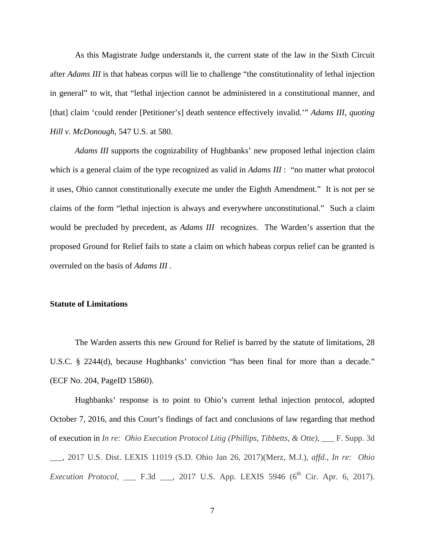As this Magistrate Judge understands it, the current state of the law in the Sixth Circuit after *Adams III* is that habeas corpus will lie to challenge "the constitutionality of lethal injection in general" to wit, that "lethal injection cannot be administered in a constitutional manner, and [that] claim 'could render [Petitioner's] death sentence effectively invalid.'" *Adams III*, *quoting Hill v. McDonough*, 547 U.S. at 580.

*Adams III* supports the cognizability of Hughbanks' new proposed lethal injection claim which is a general claim of the type recognized as valid in *Adams III* : "no matter what protocol it uses, Ohio cannot constitutionally execute me under the Eighth Amendment." It is not per se claims of the form "lethal injection is always and everywhere unconstitutional." Such a claim would be precluded by precedent, as *Adams III* recognizes. The Warden's assertion that the proposed Ground for Relief fails to state a claim on which habeas corpus relief can be granted is overruled on the basis of *Adams III* .

#### **Statute of Limitations**

The Warden asserts this new Ground for Relief is barred by the statute of limitations, 28 U.S.C. § 2244(d), because Hughbanks' conviction "has been final for more than a decade." (ECF No. 204, PageID 15860).

Hughbanks' response is to point to Ohio's current lethal injection protocol, adopted October 7, 2016, and this Court's findings of fact and conclusions of law regarding that method of execution in *In re: Ohio Execution Protocol Litig (Phillips, Tibbetts, & Otte)*, \_\_\_ F. Supp. 3d \_\_\_, 2017 U.S. Dist. LEXIS 11019 (S.D. Ohio Jan 26, 2017)(Merz, M.J.), *affd., In re: Ohio Execution Protocol*, \_\_\_ F.3d \_\_\_, 2017 U.S. App. LEXIS 5946 (6<sup>th</sup> Cir. Apr. 6, 2017).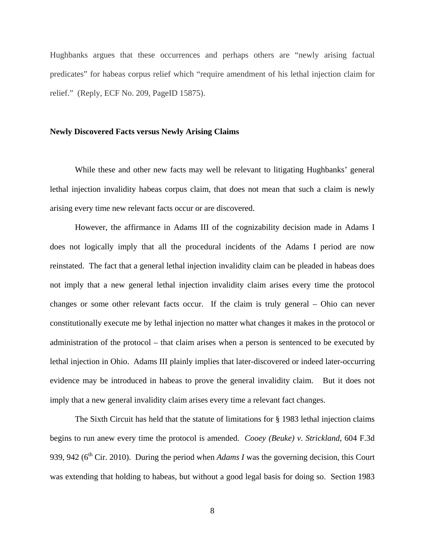Hughbanks argues that these occurrences and perhaps others are "newly arising factual predicates" for habeas corpus relief which "require amendment of his lethal injection claim for relief." (Reply, ECF No. 209, PageID 15875).

### **Newly Discovered Facts versus Newly Arising Claims**

While these and other new facts may well be relevant to litigating Hughbanks' general lethal injection invalidity habeas corpus claim, that does not mean that such a claim is newly arising every time new relevant facts occur or are discovered.

However, the affirmance in Adams III of the cognizability decision made in Adams I does not logically imply that all the procedural incidents of the Adams I period are now reinstated. The fact that a general lethal injection invalidity claim can be pleaded in habeas does not imply that a new general lethal injection invalidity claim arises every time the protocol changes or some other relevant facts occur. If the claim is truly general – Ohio can never constitutionally execute me by lethal injection no matter what changes it makes in the protocol or administration of the protocol – that claim arises when a person is sentenced to be executed by lethal injection in Ohio. Adams III plainly implies that later-discovered or indeed later-occurring evidence may be introduced in habeas to prove the general invalidity claim. But it does not imply that a new general invalidity claim arises every time a relevant fact changes.

The Sixth Circuit has held that the statute of limitations for § 1983 lethal injection claims begins to run anew every time the protocol is amended. *Cooey (Beuke) v. Strickland*, 604 F.3d 939, 942 ( $6<sup>th</sup>$  Cir. 2010). During the period when *Adams I* was the governing decision, this Court was extending that holding to habeas, but without a good legal basis for doing so. Section 1983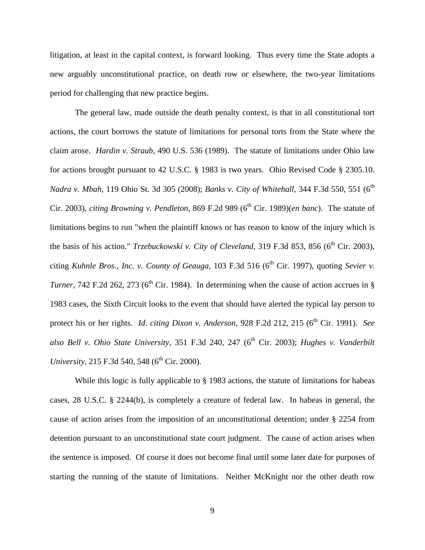litigation, at least in the capital context, is forward looking. Thus every time the State adopts a new arguably unconstitutional practice, on death row or elsewhere, the two-year limitations period for challenging that new practice begins.

The general law, made outside the death penalty context, is that in all constitutional tort actions, the court borrows the statute of limitations for personal torts from the State where the claim arose. *Hardin v. Straub,* 490 U.S. 536 (1989). The statute of limitations under Ohio law for actions brought pursuant to 42 U.S.C. § 1983 is two years. Ohio Revised Code § 2305.10. *Nadra v. Mbah*, 119 Ohio St. 3d 305 (2008); *Banks v. City of Whitehall*, 344 F.3d 550, 551 (6<sup>th</sup>) Cir. 2003), *citing Browning v. Pendleton*, 869 F.2d 989 (6<sup>th</sup> Cir. 1989)(*en banc*). The statute of limitations begins to run "when the plaintiff knows or has reason to know of the injury which is the basis of his action." *Trzebuckowski v. City of Cleveland*, 319 F.3d 853, 856 (6<sup>th</sup> Cir. 2003), citing *Kuhnle Bros., Inc. v. County of Geauga,* 103 F.3d 516 (6<sup>th</sup> Cir. 1997), quoting *Sevier v. Turner*, 742 F.2d 262, 273 ( $6<sup>th</sup>$  Cir. 1984). In determining when the cause of action accrues in § 1983 cases, the Sixth Circuit looks to the event that should have alerted the typical lay person to protect his or her rights. *Id. citing Dixon v. Anderson*, 928 F.2d 212, 215 (6<sup>th</sup> Cir. 1991). *See* also Bell v. Ohio State University, 351 F.3d 240, 247 (6<sup>th</sup> Cir. 2003); *Hughes v. Vanderbilt University*, 215 F.3d 540, 548 ( $6^{th}$  Cir. 2000).

While this logic is fully applicable to  $\S$  1983 actions, the statute of limitations for habeas cases, 28 U.S.C. § 2244(b), is completely a creature of federal law. In habeas in general, the cause of action arises from the imposition of an unconstitutional detention; under § 2254 from detention pursuant to an unconstitutional state court judgment. The cause of action arises when the sentence is imposed. Of course it does not become final until some later date for purposes of starting the running of the statute of limitations. Neither McKnight nor the other death row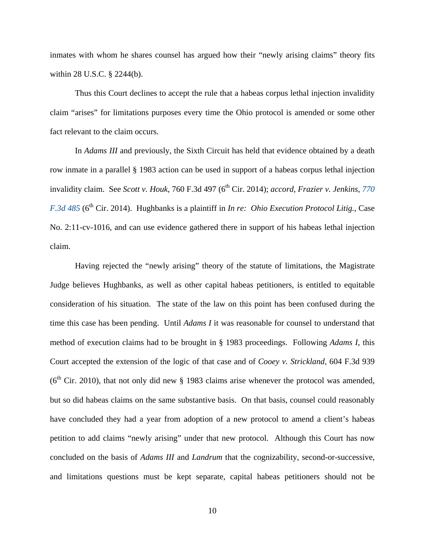inmates with whom he shares counsel has argued how their "newly arising claims" theory fits within 28 U.S.C. § 2244(b).

Thus this Court declines to accept the rule that a habeas corpus lethal injection invalidity claim "arises" for limitations purposes every time the Ohio protocol is amended or some other fact relevant to the claim occurs.

In *Adams III* and previously, the Sixth Circuit has held that evidence obtained by a death row inmate in a parallel § 1983 action can be used in support of a habeas corpus lethal injection invalidity claim. See *Scott v. Houk*, 760 F.3d 497 (6<sup>th</sup> Cir. 2014); *accord, Frazier v. Jenkins*, 770 *F.3d 485* (6<sup>th</sup> Cir. 2014). Hughbanks is a plaintiff in *In re: Ohio Execution Protocol Litig.*, Case No. 2:11-cv-1016, and can use evidence gathered there in support of his habeas lethal injection claim.

Having rejected the "newly arising" theory of the statute of limitations, the Magistrate Judge believes Hughbanks, as well as other capital habeas petitioners, is entitled to equitable consideration of his situation. The state of the law on this point has been confused during the time this case has been pending. Until *Adams I* it was reasonable for counsel to understand that method of execution claims had to be brought in § 1983 proceedings. Following *Adams I*, this Court accepted the extension of the logic of that case and of *Cooey v. Strickland*, 604 F.3d 939 ( $6<sup>th</sup>$  Cir. 2010), that not only did new § 1983 claims arise whenever the protocol was amended, but so did habeas claims on the same substantive basis. On that basis, counsel could reasonably have concluded they had a year from adoption of a new protocol to amend a client's habeas petition to add claims "newly arising" under that new protocol. Although this Court has now concluded on the basis of *Adams III* and *Landrum* that the cognizability, second-or-successive, and limitations questions must be kept separate, capital habeas petitioners should not be